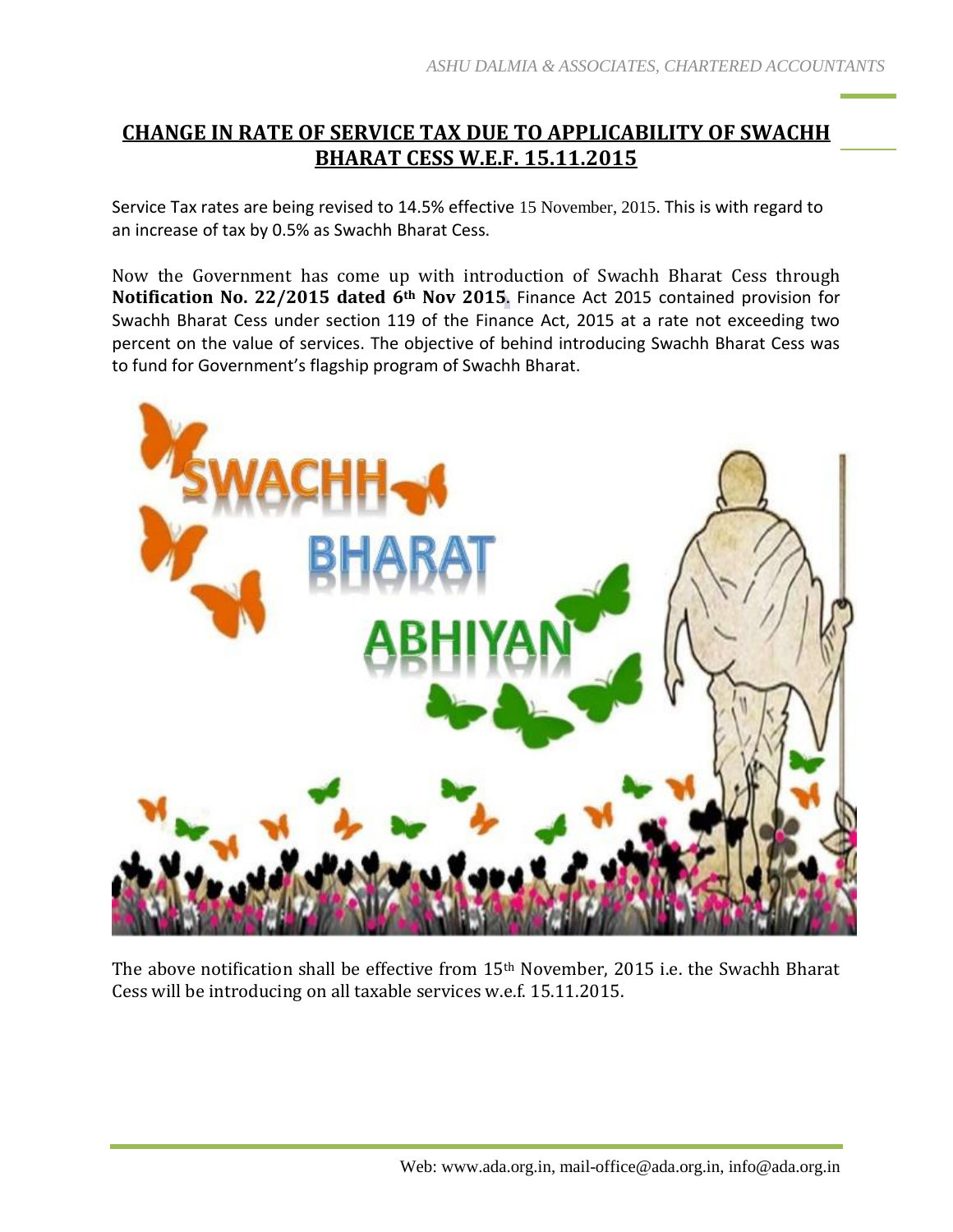# **CHANGE IN RATE OF SERVICE TAX DUE TO APPLICABILITY OF SWACHH BHARAT CESS W.E.F. 15.11.2015**

Service Tax rates are being revised to 14.5% effective 15 November, 2015. This is with regard to an increase of tax by 0.5% as Swachh Bharat Cess.

Now the Government has come up with introduction of Swachh Bharat Cess through **Notification No. 22/2015 dated 6th Nov 2015**. Finance Act 2015 contained provision for Swachh Bharat Cess under section 119 of the Finance Act, 2015 at a rate not exceeding two percent on the value of services. The objective of behind introducing Swachh Bharat Cess was to fund for Government's flagship program of Swachh Bharat.



The above notification shall be effective from 15th November, 2015 i.e. the Swachh Bharat Cess will be introducing on all taxable services w.e.f. 15.11.2015.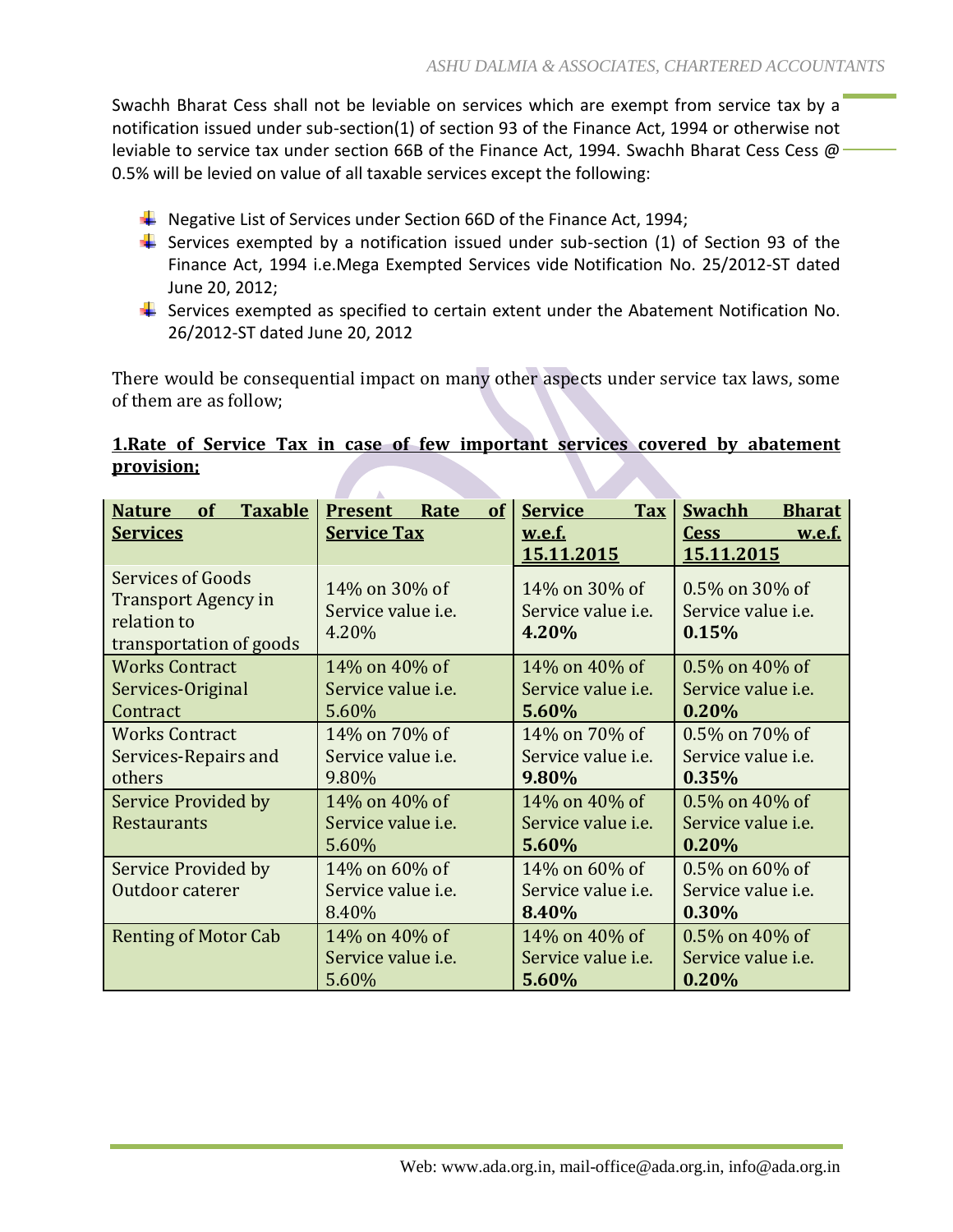Swachh Bharat Cess shall not be leviable on services which are exempt from service tax by a notification issued under sub-section(1) of section 93 of the Finance Act, 1994 or otherwise not leviable to service tax under section 66B of the Finance Act, 1994. Swachh Bharat Cess Cess  $\varpi$ 0.5% will be levied on value of all taxable services except the following:

- $\ddot{+}$  Negative List of Services under Section 66D of the Finance Act, 1994;
- Services exempted by a notification issued under sub-section  $(1)$  of Section 93 of the Finance Act, 1994 i.e.Mega Exempted Services vide Notification No. 25/2012-ST dated June 20, 2012;
- $\ddot{\phantom{1}}$  Services exempted as specified to certain extent under the Abatement Notification No. 26/2012-ST dated June 20, 2012

There would be consequential impact on many other aspects under service tax laws, some of them are as follow;

### **1.Rate of Service Tax in case of few important services covered by abatement provision;**

| <b>Taxable</b><br>of<br><b>Nature</b><br><b>Services</b>                                  | of<br><b>Present</b><br>Rate<br><b>Service Tax</b>  | <b>Service</b><br><b>Tax</b><br><u>w.e.f.</u><br>15.11.2015 | <b>Swachh</b><br><b>Bharat</b><br><b>Cess</b><br><u>w.e.f.</u><br>15.11.2015 |
|-------------------------------------------------------------------------------------------|-----------------------------------------------------|-------------------------------------------------------------|------------------------------------------------------------------------------|
| Services of Goods<br><b>Transport Agency in</b><br>relation to<br>transportation of goods | 14% on 30% of<br>Service value <i>i.e.</i><br>4.20% | 14% on 30% of<br>Service value <i>i.e.</i><br>4.20%         | 0.5% on 30% of<br>Service value <i>i.e.</i><br>0.15%                         |
| <b>Works Contract</b><br>Services-Original<br>Contract                                    | 14% on 40% of<br>Service value <i>i.e.</i><br>5.60% | 14\% on 40\% of<br>Service value <i>i.e.</i><br>5.60%       | 0.5% on 40% of<br>Service value <i>i.e.</i><br>0.20%                         |
| <b>Works Contract</b><br>Services-Repairs and<br>others                                   | 14% on 70% of<br>Service value <i>i.e.</i><br>9.80% | 14\% on 70\% of<br>Service value <i>i.e.</i><br>9.80%       | 0.5% on 70% of<br>Service value <i>i.e.</i><br>0.35%                         |
| <b>Service Provided by</b><br>Restaurants                                                 | 14% on 40% of<br>Service value <i>i.e.</i><br>5.60% | 14\% on 40\% of<br>Service value <i>i.e.</i><br>5.60%       | 0.5% on 40% of<br>Service value <i>i.e.</i><br>0.20%                         |
| Service Provided by<br>Outdoor caterer                                                    | 14% on 60% of<br>Service value <i>i.e.</i><br>8.40% | 14\% on 60\% of<br>Service value <i>i.e.</i><br>8.40%       | 0.5% on 60% of<br>Service value <i>i.e.</i><br>0.30%                         |
| <b>Renting of Motor Cab</b>                                                               | 14% on 40% of<br>Service value <i>i.e.</i><br>5.60% | 14\% on 40\% of<br>Service value <i>i.e.</i><br>5.60%       | 0.5% on 40% of<br>Service value <i>i.e.</i><br>0.20%                         |